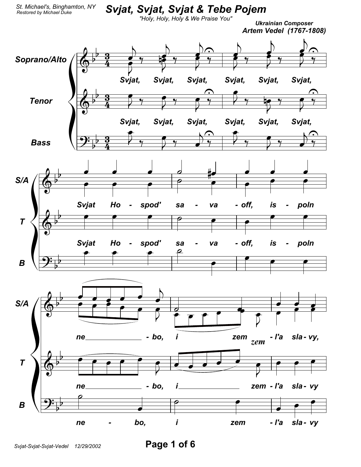## *Svjat, Svjat, Svjat & Tebe Pojem*

*"Holy, Holy, Holy & We Praise You"*

*Ukrainian Composer Artem Vedel (1767-1808)*

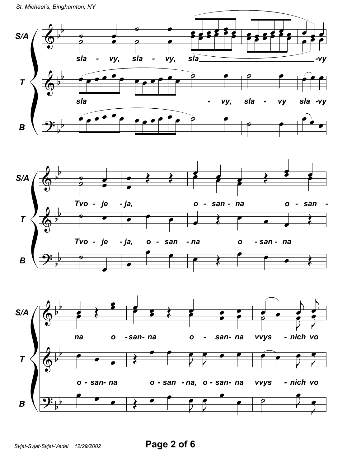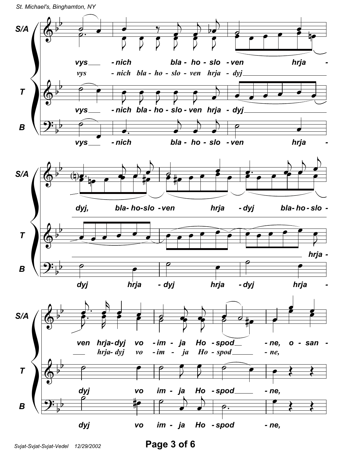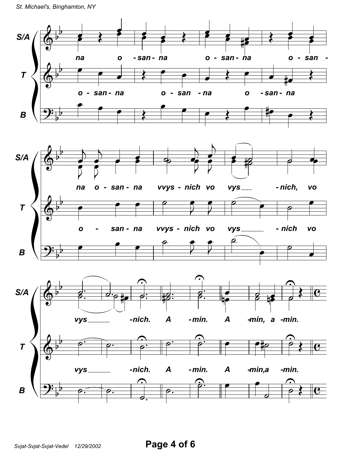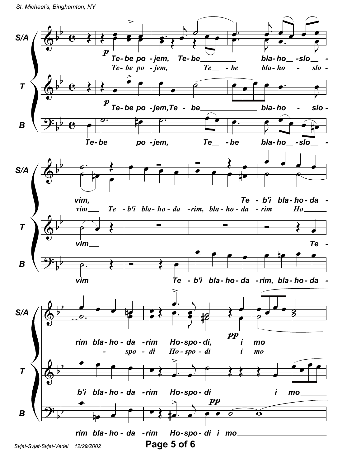